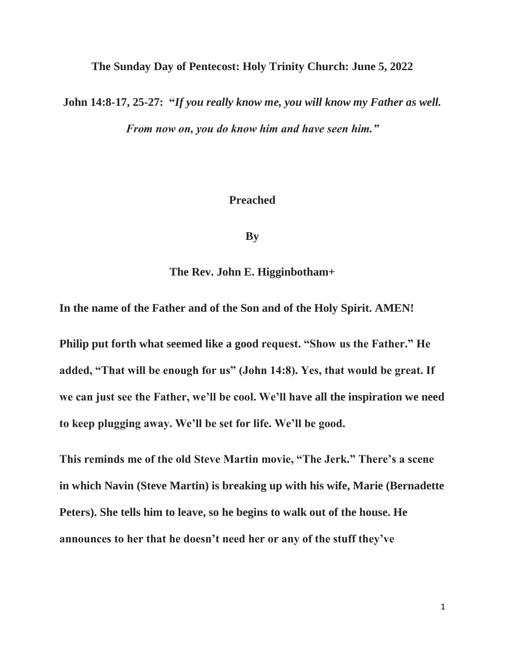**The Sunday Day of Pentecost: Holy Trinity Church: June 5, 2022**

**John 14:8-17, 25-27: "***If you really know me, you will know my Father as well. From now on, you do know him and have seen him."*

## **Preached**

**By**

**The Rev. John E. Higginbotham+**

**In the name of the Father and of the Son and of the Holy Spirit. AMEN!**

**Philip put forth what seemed like a good request. "Show us the Father." He added, "That will be enough for us" (John 14:8). Yes, that would be great. If we can just see the Father, we'll be cool. We'll have all the inspiration we need to keep plugging away. We'll be set for life. We'll be good.**

**This reminds me of the old Steve Martin movie, "The Jerk." There's a scene in which Navin (Steve Martin) is breaking up with his wife, Marie (Bernadette Peters). She tells him to leave, so he begins to walk out of the house. He announces to her that he doesn't need her or any of the stuff they've**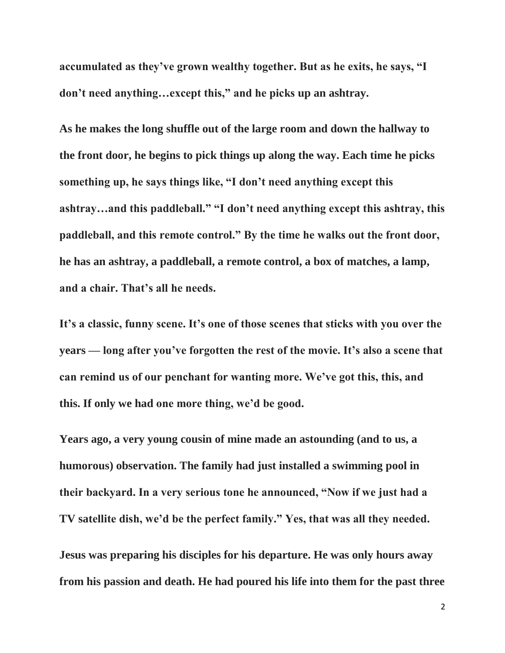**accumulated as they've grown wealthy together. But as he exits, he says, "I don't need anything…except this," and he picks up an ashtray.**

**As he makes the long shuffle out of the large room and down the hallway to the front door, he begins to pick things up along the way. Each time he picks something up, he says things like, "I don't need anything except this ashtray…and this paddleball." "I don't need anything except this ashtray, this paddleball, and this remote control." By the time he walks out the front door, he has an ashtray, a paddleball, a remote control, a box of matches, a lamp, and a chair. That's all he needs.**

**It's a classic, funny scene. It's one of those scenes that sticks with you over the years — long after you've forgotten the rest of the movie. It's also a scene that can remind us of our penchant for wanting more. We've got this, this, and this. If only we had one more thing, we'd be good.**

**Years ago, a very young cousin of mine made an astounding (and to us, a humorous) observation. The family had just installed a swimming pool in their backyard. In a very serious tone he announced, "Now if we just had a TV satellite dish, we'd be the perfect family." Yes, that was all they needed.**

**Jesus was preparing his disciples for his departure. He was only hours away from his passion and death. He had poured his life into them for the past three**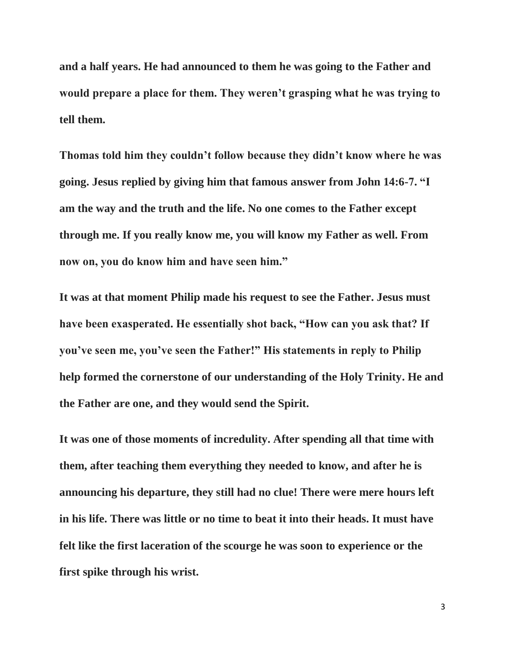**and a half years. He had announced to them he was going to the Father and would prepare a place for them. They weren't grasping what he was trying to tell them.**

**Thomas told him they couldn't follow because they didn't know where he was going. Jesus replied by giving him that famous answer from John 14:6-7. "I am the way and the truth and the life. No one comes to the Father except through me. If you really know me, you will know my Father as well. From now on, you do know him and have seen him."**

**It was at that moment Philip made his request to see the Father. Jesus must have been exasperated. He essentially shot back, "How can you ask that? If you've seen me, you've seen the Father!" His statements in reply to Philip help formed the cornerstone of our understanding of the Holy Trinity. He and the Father are one, and they would send the Spirit.**

**It was one of those moments of incredulity. After spending all that time with them, after teaching them everything they needed to know, and after he is announcing his departure, they still had no clue! There were mere hours left in his life. There was little or no time to beat it into their heads. It must have felt like the first laceration of the scourge he was soon to experience or the first spike through his wrist.**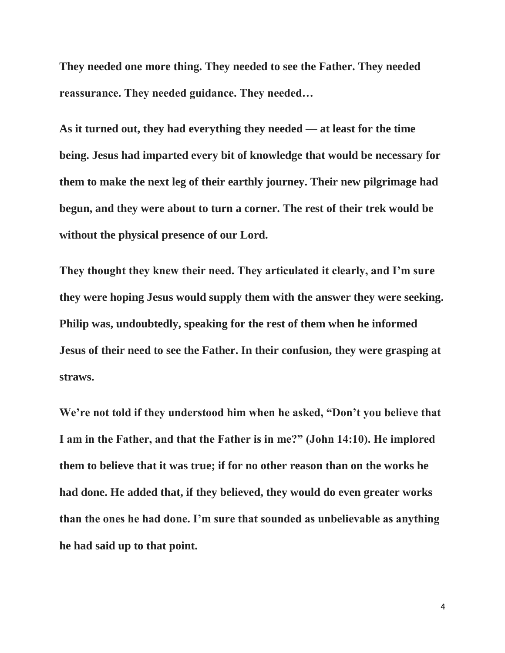**They needed one more thing. They needed to see the Father. They needed reassurance. They needed guidance. They needed…**

**As it turned out, they had everything they needed — at least for the time being. Jesus had imparted every bit of knowledge that would be necessary for them to make the next leg of their earthly journey. Their new pilgrimage had begun, and they were about to turn a corner. The rest of their trek would be without the physical presence of our Lord.**

**They thought they knew their need. They articulated it clearly, and I'm sure they were hoping Jesus would supply them with the answer they were seeking. Philip was, undoubtedly, speaking for the rest of them when he informed Jesus of their need to see the Father. In their confusion, they were grasping at straws.**

**We're not told if they understood him when he asked, "Don't you believe that I am in the Father, and that the Father is in me?" (John 14:10). He implored them to believe that it was true; if for no other reason than on the works he had done. He added that, if they believed, they would do even greater works than the ones he had done. I'm sure that sounded as unbelievable as anything he had said up to that point.**

4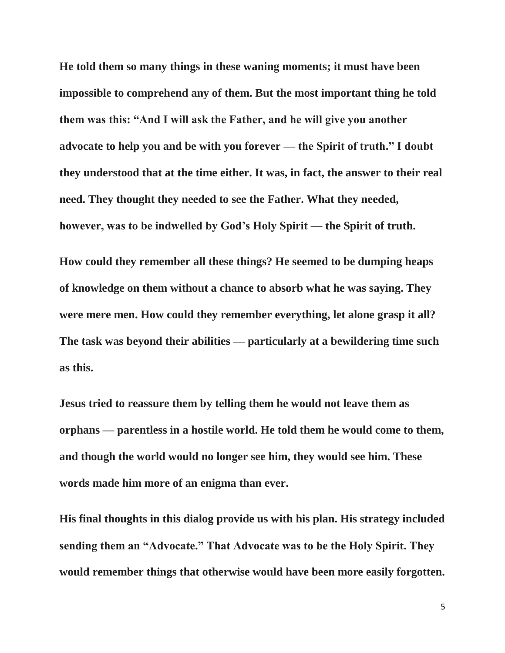**He told them so many things in these waning moments; it must have been impossible to comprehend any of them. But the most important thing he told them was this: "And I will ask the Father, and he will give you another advocate to help you and be with you forever — the Spirit of truth." I doubt they understood that at the time either. It was, in fact, the answer to their real need. They thought they needed to see the Father. What they needed, however, was to be indwelled by God's Holy Spirit — the Spirit of truth.**

**How could they remember all these things? He seemed to be dumping heaps of knowledge on them without a chance to absorb what he was saying. They were mere men. How could they remember everything, let alone grasp it all? The task was beyond their abilities — particularly at a bewildering time such as this.**

**Jesus tried to reassure them by telling them he would not leave them as orphans — parentless in a hostile world. He told them he would come to them, and though the world would no longer see him, they would see him. These words made him more of an enigma than ever.**

**His final thoughts in this dialog provide us with his plan. His strategy included sending them an "Advocate." That Advocate was to be the Holy Spirit. They would remember things that otherwise would have been more easily forgotten.**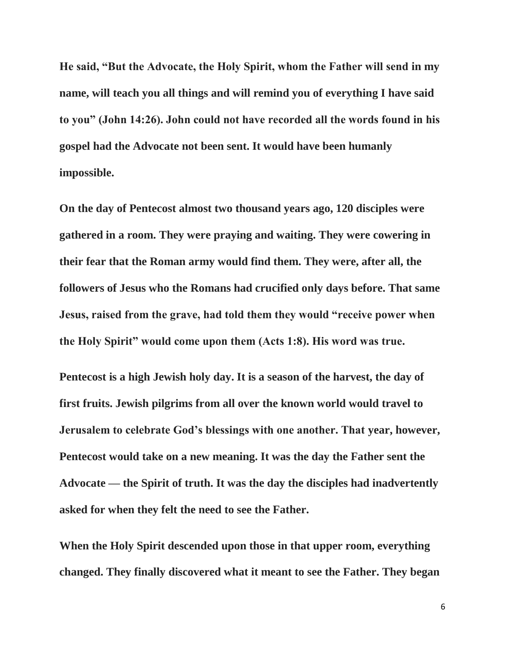**He said, "But the Advocate, the Holy Spirit, whom the Father will send in my name, will teach you all things and will remind you of everything I have said to you" (John 14:26). John could not have recorded all the words found in his gospel had the Advocate not been sent. It would have been humanly impossible.**

**On the day of Pentecost almost two thousand years ago, 120 disciples were gathered in a room. They were praying and waiting. They were cowering in their fear that the Roman army would find them. They were, after all, the followers of Jesus who the Romans had crucified only days before. That same Jesus, raised from the grave, had told them they would "receive power when the Holy Spirit" would come upon them (Acts 1:8). His word was true.**

**Pentecost is a high Jewish holy day. It is a season of the harvest, the day of first fruits. Jewish pilgrims from all over the known world would travel to Jerusalem to celebrate God's blessings with one another. That year, however, Pentecost would take on a new meaning. It was the day the Father sent the Advocate — the Spirit of truth. It was the day the disciples had inadvertently asked for when they felt the need to see the Father.**

**When the Holy Spirit descended upon those in that upper room, everything changed. They finally discovered what it meant to see the Father. They began**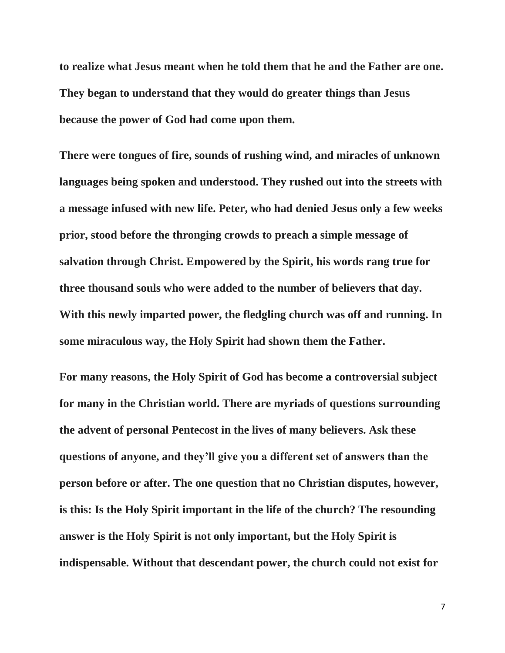**to realize what Jesus meant when he told them that he and the Father are one. They began to understand that they would do greater things than Jesus because the power of God had come upon them.**

**There were tongues of fire, sounds of rushing wind, and miracles of unknown languages being spoken and understood. They rushed out into the streets with a message infused with new life. Peter, who had denied Jesus only a few weeks prior, stood before the thronging crowds to preach a simple message of salvation through Christ. Empowered by the Spirit, his words rang true for three thousand souls who were added to the number of believers that day. With this newly imparted power, the fledgling church was off and running. In some miraculous way, the Holy Spirit had shown them the Father.**

**For many reasons, the Holy Spirit of God has become a controversial subject for many in the Christian world. There are myriads of questions surrounding the advent of personal Pentecost in the lives of many believers. Ask these questions of anyone, and they'll give you a different set of answers than the person before or after. The one question that no Christian disputes, however, is this: Is the Holy Spirit important in the life of the church? The resounding answer is the Holy Spirit is not only important, but the Holy Spirit is indispensable. Without that descendant power, the church could not exist for**